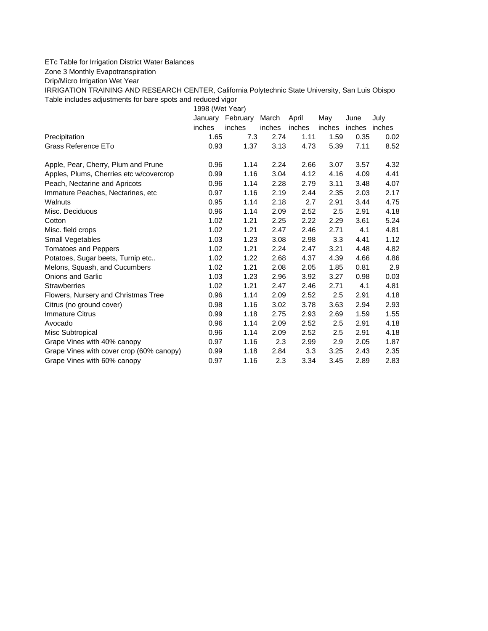## ETc Table for Irrigation District Water Balances

Zone 3 Monthly Evapotranspiration

Drip/Micro Irrigation Wet Year

IRRIGATION TRAINING AND RESEARCH CENTER, California Polytechnic State University, San Luis Obispo Table includes adjustments for bare spots and reduced vigor

1998 (Wet Year)

|                                          | January | February | March  | April  | May    | June   | July   |
|------------------------------------------|---------|----------|--------|--------|--------|--------|--------|
|                                          | inches  | inches   | inches | inches | inches | inches | inches |
| Precipitation                            | 1.65    | 7.3      | 2.74   | 1.11   | 1.59   | 0.35   | 0.02   |
| Grass Reference ETo                      | 0.93    | 1.37     | 3.13   | 4.73   | 5.39   | 7.11   | 8.52   |
| Apple, Pear, Cherry, Plum and Prune      | 0.96    | 1.14     | 2.24   | 2.66   | 3.07   | 3.57   | 4.32   |
| Apples, Plums, Cherries etc w/covercrop  | 0.99    | 1.16     | 3.04   | 4.12   | 4.16   | 4.09   | 4.41   |
| Peach, Nectarine and Apricots            | 0.96    | 1.14     | 2.28   | 2.79   | 3.11   | 3.48   | 4.07   |
| Immature Peaches, Nectarines, etc.       | 0.97    | 1.16     | 2.19   | 2.44   | 2.35   | 2.03   | 2.17   |
| Walnuts                                  | 0.95    | 1.14     | 2.18   | 2.7    | 2.91   | 3.44   | 4.75   |
| Misc. Deciduous                          | 0.96    | 1.14     | 2.09   | 2.52   | 2.5    | 2.91   | 4.18   |
| Cotton                                   | 1.02    | 1.21     | 2.25   | 2.22   | 2.29   | 3.61   | 5.24   |
| Misc. field crops                        | 1.02    | 1.21     | 2.47   | 2.46   | 2.71   | 4.1    | 4.81   |
| Small Vegetables                         | 1.03    | 1.23     | 3.08   | 2.98   | 3.3    | 4.41   | 1.12   |
| <b>Tomatoes and Peppers</b>              | 1.02    | 1.21     | 2.24   | 2.47   | 3.21   | 4.48   | 4.82   |
| Potatoes, Sugar beets, Turnip etc        | 1.02    | 1.22     | 2.68   | 4.37   | 4.39   | 4.66   | 4.86   |
| Melons, Squash, and Cucumbers            | 1.02    | 1.21     | 2.08   | 2.05   | 1.85   | 0.81   | 2.9    |
| <b>Onions and Garlic</b>                 | 1.03    | 1.23     | 2.96   | 3.92   | 3.27   | 0.98   | 0.03   |
| <b>Strawberries</b>                      | 1.02    | 1.21     | 2.47   | 2.46   | 2.71   | 4.1    | 4.81   |
| Flowers, Nursery and Christmas Tree      | 0.96    | 1.14     | 2.09   | 2.52   | 2.5    | 2.91   | 4.18   |
| Citrus (no ground cover)                 | 0.98    | 1.16     | 3.02   | 3.78   | 3.63   | 2.94   | 2.93   |
| <b>Immature Citrus</b>                   | 0.99    | 1.18     | 2.75   | 2.93   | 2.69   | 1.59   | 1.55   |
| Avocado                                  | 0.96    | 1.14     | 2.09   | 2.52   | 2.5    | 2.91   | 4.18   |
| Misc Subtropical                         | 0.96    | 1.14     | 2.09   | 2.52   | 2.5    | 2.91   | 4.18   |
| Grape Vines with 40% canopy              | 0.97    | 1.16     | 2.3    | 2.99   | 2.9    | 2.05   | 1.87   |
| Grape Vines with cover crop (60% canopy) | 0.99    | 1.18     | 2.84   | 3.3    | 3.25   | 2.43   | 2.35   |
| Grape Vines with 60% canopy              | 0.97    | 1.16     | 2.3    | 3.34   | 3.45   | 2.89   | 2.83   |